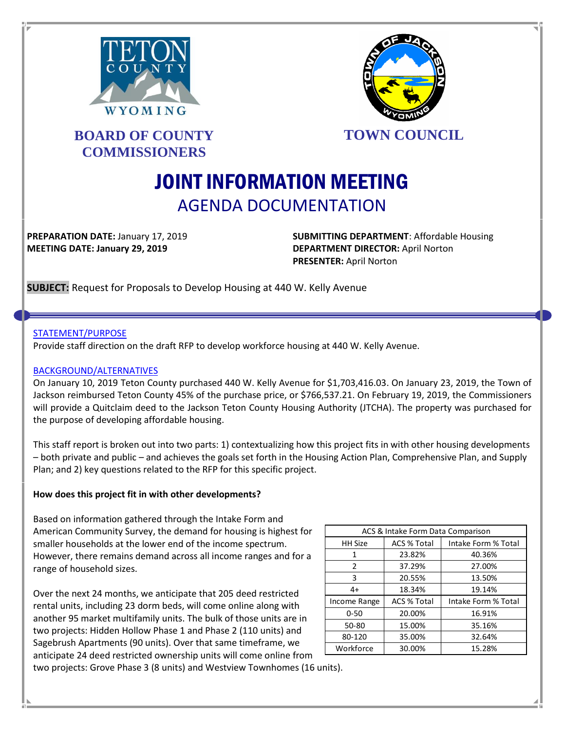



# **BOARD OF COUNTY COMMISSIONERS**

**TOWN COUNCIL**

# JOINT INFORMATION MEETING AGENDA DOCUMENTATION

**PREPARATION DATE:** January 17, 2019 **SUBMITTING DEPARTMENT**: Affordable Housing **MEETING DATE: January 29, 2019 DEPARTMENT DIRECTOR:** April Norton **PRESENTER:** April Norton

**SUBJECT:** Request for Proposals to Develop Housing at 440 W. Kelly Avenue

# STATEMENT/PURPOSE

Provide staff direction on the draft RFP to develop workforce housing at 440 W. Kelly Avenue.

# BACKGROUND/ALTERNATIVES

On January 10, 2019 Teton County purchased 440 W. Kelly Avenue for \$1,703,416.03. On January 23, 2019, the Town of Jackson reimbursed Teton County 45% of the purchase price, or \$766,537.21. On February 19, 2019, the Commissioners will provide a Quitclaim deed to the Jackson Teton County Housing Authority (JTCHA). The property was purchased for the purpose of developing affordable housing.

This staff report is broken out into two parts: 1) contextualizing how this project fits in with other housing developments – both private and public – and achieves the goals set forth in the Housing Action Plan, Comprehensive Plan, and Supply Plan; and 2) key questions related to the RFP for this specific project.

# **How does this project fit in with other developments?**

Based on information gathered through the Intake Form and American Community Survey, the demand for housing is highest for smaller households at the lower end of the income spectrum. However, there remains demand across all income ranges and for a range of household sizes.

Over the next 24 months, we anticipate that 205 deed restricted rental units, including 23 dorm beds, will come online along with another 95 market multifamily units. The bulk of those units are in two projects: Hidden Hollow Phase 1 and Phase 2 (110 units) and Sagebrush Apartments (90 units). Over that same timeframe, we anticipate 24 deed restricted ownership units will come online from

| ACS & Intake Form Data Comparison |                    |                     |  |  |
|-----------------------------------|--------------------|---------------------|--|--|
| <b>HH Size</b>                    | <b>ACS % Total</b> | Intake Form % Total |  |  |
| 1                                 | 23.82%             | 40.36%              |  |  |
| 2                                 | 37.29%             | 27.00%              |  |  |
| 3                                 | 20.55%             | 13.50%              |  |  |
| $4+$                              | 18.34%             | 19.14%              |  |  |
| Income Range                      | <b>ACS % Total</b> | Intake Form % Total |  |  |
| $0 - 50$                          | 20.00%             | 16.91%              |  |  |
| 50-80                             | 15.00%             | 35.16%              |  |  |
| 80-120                            | 35.00%             | 32.64%              |  |  |
| Workforce                         | 30.00%             | 15.28%              |  |  |

two projects: Grove Phase 3 (8 units) and Westview Townhomes (16 units).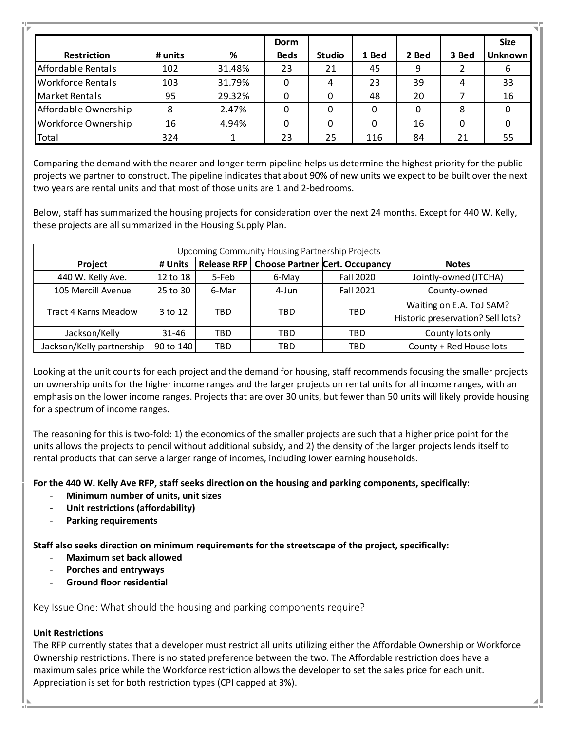|                          |         |        | Dorm        |               |       |       |       | <b>Size</b>    |
|--------------------------|---------|--------|-------------|---------------|-------|-------|-------|----------------|
| Restriction              | # units | %      | <b>Beds</b> | <b>Studio</b> | 1 Bed | 2 Bed | 3 Bed | <b>Unknown</b> |
| Affordable Rentals       | 102     | 31.48% | 23          | 21            | 45    | 9     |       | 6              |
| <b>Workforce Rentals</b> | 103     | 31.79% | 0           | 4             | 23    | 39    | 4     | 33             |
| Market Rentals           | 95      | 29.32% | 0           | 0             | 48    | 20    |       | 16             |
| Affordable Ownership     | 8       | 2.47%  | 0           | 0             | 0     | 0     | 8     |                |
| Workforce Ownership      | 16      | 4.94%  | 0           | 0             | 0     | 16    | 0     |                |
| Total                    | 324     |        | 23          | 25            | 116   | 84    | 21    | 55             |

Comparing the demand with the nearer and longer-term pipeline helps us determine the highest priority for the public projects we partner to construct. The pipeline indicates that about 90% of new units we expect to be built over the next two years are rental units and that most of those units are 1 and 2-bedrooms.

Below, staff has summarized the housing projects for consideration over the next 24 months. Except for 440 W. Kelly, these projects are all summarized in the Housing Supply Plan.

| Upcoming Community Housing Partnership Projects |           |                    |       |                                       |                                                               |  |
|-------------------------------------------------|-----------|--------------------|-------|---------------------------------------|---------------------------------------------------------------|--|
| Project                                         | # Units   | <b>Release RFP</b> |       | <b>Choose Partner Cert. Occupancy</b> | <b>Notes</b>                                                  |  |
| 440 W. Kelly Ave.                               | 12 to 18  | 5-Feb              | 6-May | <b>Fall 2020</b>                      | Jointly-owned (JTCHA)                                         |  |
| 105 Mercill Avenue                              | 25 to 30  | 6-Mar              | 4-Jun | <b>Fall 2021</b>                      | County-owned                                                  |  |
| Tract 4 Karns Meadow                            | 3 to 12   | TBD                | TBD   | TBD                                   | Waiting on E.A. ToJ SAM?<br>Historic preservation? Sell lots? |  |
| Jackson/Kelly                                   | 31-46     | TBD                | TBD   | TBD                                   | County lots only                                              |  |
| Jackson/Kelly partnership                       | 90 to 140 | TBD                | TBD   | TBD                                   | County + Red House lots                                       |  |

Looking at the unit counts for each project and the demand for housing, staff recommends focusing the smaller projects on ownership units for the higher income ranges and the larger projects on rental units for all income ranges, with an emphasis on the lower income ranges. Projects that are over 30 units, but fewer than 50 units will likely provide housing for a spectrum of income ranges.

The reasoning for this is two-fold: 1) the economics of the smaller projects are such that a higher price point for the units allows the projects to pencil without additional subsidy, and 2) the density of the larger projects lends itself to rental products that can serve a larger range of incomes, including lower earning households.

**For the 440 W. Kelly Ave RFP, staff seeks direction on the housing and parking components, specifically:** 

- **Minimum number of units, unit sizes**
- **Unit restrictions (affordability)**
- **Parking requirements**

**Staff also seeks direction on minimum requirements for the streetscape of the project, specifically:**

- **Maximum set back allowed**
- **Porches and entryways**
- **Ground floor residential**

Key Issue One: What should the housing and parking components require?

# **Unit Restrictions**

The RFP currently states that a developer must restrict all units utilizing either the Affordable Ownership or Workforce Ownership restrictions. There is no stated preference between the two. The Affordable restriction does have a maximum sales price while the Workforce restriction allows the developer to set the sales price for each unit. Appreciation is set for both restriction types (CPI capped at 3%).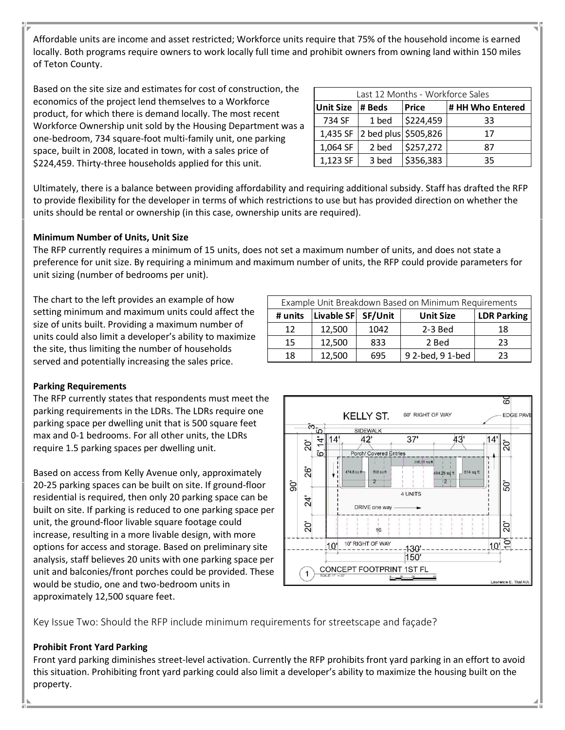Affordable units are income and asset restricted; Workforce units require that 75% of the household income is earned locally. Both programs require owners to work locally full time and prohibit owners from owning land within 150 miles of Teton County.

Based on the site size and estimates for cost of construction, the economics of the project lend themselves to a Workforce product, for which there is demand locally. The most recent Workforce Ownership unit sold by the Housing Department was a one-bedroom, 734 square-foot multi-family unit, one parking space, built in 2008, located in town, with a sales price of \$224,459. Thirty-three households applied for this unit.

| Last 12 Months - Workforce Sales |                      |              |                  |  |  |  |
|----------------------------------|----------------------|--------------|------------------|--|--|--|
| <b>Unit Size</b>                 | # Beds               | <b>Price</b> | # HH Who Entered |  |  |  |
| 734 SF                           | 1 bed                | \$224,459    | 33               |  |  |  |
| 1,435 SF                         | 2 bed plus \$505,826 |              | 17               |  |  |  |
| 1,064 SF                         | 2 bed                | \$257,272    | 87               |  |  |  |
| 1,123 SF                         | 3 bed                | \$356,383    | 35               |  |  |  |

Ultimately, there is a balance between providing affordability and requiring additional subsidy. Staff has drafted the RFP to provide flexibility for the developer in terms of which restrictions to use but has provided direction on whether the units should be rental or ownership (in this case, ownership units are required).

# **Minimum Number of Units, Unit Size**

The RFP currently requires a minimum of 15 units, does not set a maximum number of units, and does not state a preference for unit size. By requiring a minimum and maximum number of units, the RFP could provide parameters for unit sizing (number of bedrooms per unit).

The chart to the left provides an example of how setting minimum and maximum units could affect the size of units built. Providing a maximum number of units could also limit a developer's ability to maximize the site, thus limiting the number of households served and potentially increasing the sales price.

| Example Unit Breakdown Based on Minimum Requirements |                    |      |                  |                    |  |
|------------------------------------------------------|--------------------|------|------------------|--------------------|--|
| # units                                              | Livable SF SF/Unit |      | <b>Unit Size</b> | <b>LDR Parking</b> |  |
| 12                                                   | 12,500             | 1042 | $2-3$ Bed        | 18                 |  |
| 15                                                   | 12,500             | 833  | 2 Bed            | 23                 |  |
| 18                                                   | 12,500             | 695  | 9 2-bed, 9 1-bed | 23                 |  |

# **Parking Requirements**

The RFP currently states that respondents must meet the parking requirements in the LDRs. The LDRs require one parking space per dwelling unit that is 500 square feet max and 0-1 bedrooms. For all other units, the LDRs require 1.5 parking spaces per dwelling unit.

Based on access from Kelly Avenue only, approximately 20-25 parking spaces can be built on site. If ground-floor residential is required, then only 20 parking space can be built on site. If parking is reduced to one parking space per unit, the ground-floor livable square footage could increase, resulting in a more livable design, with more options for access and storage. Based on preliminary site analysis, staff believes 20 units with one parking space per unit and balconies/front porches could be provided. These would be studio, one and two-bedroom units in approximately 12,500 square feet.



Key Issue Two: Should the RFP include minimum requirements for streetscape and façade?

# **Prohibit Front Yard Parking**

Front yard parking diminishes street-level activation. Currently the RFP prohibits front yard parking in an effort to avoid this situation. Prohibiting front yard parking could also limit a developer's ability to maximize the housing built on the property.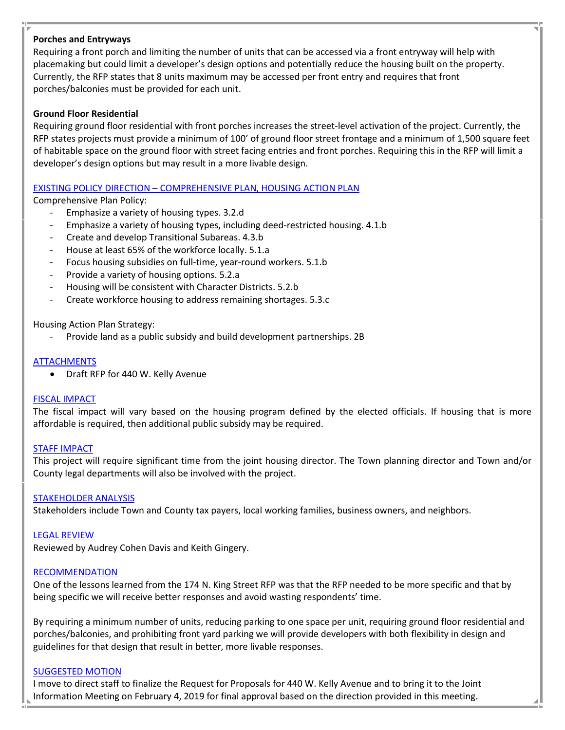# **Porches and Entryways**

Requiring a front porch and limiting the number of units that can be accessed via a front entryway will help with placemaking but could limit a developer's design options and potentially reduce the housing built on the property. Currently, the RFP states that 8 units maximum may be accessed per front entry and requires that front porches/balconies must be provided for each unit.

# **Ground Floor Residential**

Requiring ground floor residential with front porches increases the street-level activation of the project. Currently, the RFP states projects must provide a minimum of 100' of ground floor street frontage and a minimum of 1,500 square feet of habitable space on the ground floor with street facing entries and front porches. Requiring this in the RFP will limit a developer's design options but may result in a more livable design.

#### EXISTING POLICY DIRECTION – COMPREHENSIVE PLAN, HOUSING ACTION PLAN

Comprehensive Plan Policy:

- Emphasize a variety of housing types. 3.2.d
- Emphasize a variety of housing types, including deed-restricted housing. 4.1.b
- Create and develop Transitional Subareas. 4.3.b
- House at least 65% of the workforce locally. 5.1.a
- Focus housing subsidies on full-time, year-round workers. 5.1.b
- Provide a variety of housing options. 5.2.a
- Housing will be consistent with Character Districts. 5.2.b
- Create workforce housing to address remaining shortages. 5.3.c

Housing Action Plan Strategy:

Provide land as a public subsidy and build development partnerships. 2B

#### **ATTACHMENTS**

• Draft RFP for 440 W. Kelly Avenue

#### FISCAL IMPACT

The fiscal impact will vary based on the housing program defined by the elected officials. If housing that is more affordable is required, then additional public subsidy may be required.

#### STAFF IMPACT

This project will require significant time from the joint housing director. The Town planning director and Town and/or County legal departments will also be involved with the project.

#### STAKEHOLDER ANALYSIS

Stakeholders include Town and County tax payers, local working families, business owners, and neighbors.

#### LEGAL REVIEW

Reviewed by Audrey Cohen Davis and Keith Gingery.

#### RECOMMENDATION

One of the lessons learned from the 174 N. King Street RFP was that the RFP needed to be more specific and that by being specific we will receive better responses and avoid wasting respondents' time.

By requiring a minimum number of units, reducing parking to one space per unit, requiring ground floor residential and porches/balconies, and prohibiting front yard parking we will provide developers with both flexibility in design and guidelines for that design that result in better, more livable responses.

#### SUGGESTED MOTION

I move to direct staff to finalize the Request for Proposals for 440 W. Kelly Avenue and to bring it to the Joint Information Meeting on February 4, 2019 for final approval based on the direction provided in this meeting.